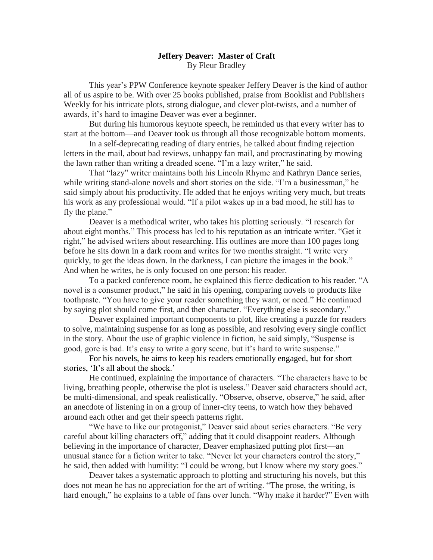## **Jeffery Deaver: Master of Craft** By Fleur Bradley

This year"s PPW Conference keynote speaker Jeffery Deaver is the kind of author all of us aspire to be. With over 25 books published, praise from Booklist and Publishers Weekly for his intricate plots, strong dialogue, and clever plot-twists, and a number of awards, it"s hard to imagine Deaver was ever a beginner.

But during his humorous keynote speech, he reminded us that every writer has to start at the bottom—and Deaver took us through all those recognizable bottom moments.

In a self-deprecating reading of diary entries, he talked about finding rejection letters in the mail, about bad reviews, unhappy fan mail, and procrastinating by mowing the lawn rather than writing a dreaded scene. "I"m a lazy writer," he said.

That "lazy" writer maintains both his Lincoln Rhyme and Kathryn Dance series, while writing stand-alone novels and short stories on the side. "I'm a businessman," he said simply about his productivity. He added that he enjoys writing very much, but treats his work as any professional would. "If a pilot wakes up in a bad mood, he still has to fly the plane."

Deaver is a methodical writer, who takes his plotting seriously. "I research for about eight months." This process has led to his reputation as an intricate writer. "Get it right," he advised writers about researching. His outlines are more than 100 pages long before he sits down in a dark room and writes for two months straight. "I write very quickly, to get the ideas down. In the darkness, I can picture the images in the book." And when he writes, he is only focused on one person: his reader.

To a packed conference room, he explained this fierce dedication to his reader. "A novel is a consumer product," he said in his opening, comparing novels to products like toothpaste. "You have to give your reader something they want, or need." He continued by saying plot should come first, and then character. "Everything else is secondary."

Deaver explained important components to plot, like creating a puzzle for readers to solve, maintaining suspense for as long as possible, and resolving every single conflict in the story. About the use of graphic violence in fiction, he said simply, "Suspense is good, gore is bad. It's easy to write a gory scene, but it's hard to write suspense."

For his novels, he aims to keep his readers emotionally engaged, but for short stories, 'It's all about the shock.'

He continued, explaining the importance of characters. "The characters have to be living, breathing people, otherwise the plot is useless." Deaver said characters should act, be multi-dimensional, and speak realistically. "Observe, observe, observe," he said, after an anecdote of listening in on a group of inner-city teens, to watch how they behaved around each other and get their speech patterns right.

"We have to like our protagonist," Deaver said about series characters. "Be very careful about killing characters off," adding that it could disappoint readers. Although believing in the importance of character, Deaver emphasized putting plot first—an unusual stance for a fiction writer to take. "Never let your characters control the story," he said, then added with humility: "I could be wrong, but I know where my story goes."

Deaver takes a systematic approach to plotting and structuring his novels, but this does not mean he has no appreciation for the art of writing. "The prose, the writing, is hard enough," he explains to a table of fans over lunch. "Why make it harder?" Even with